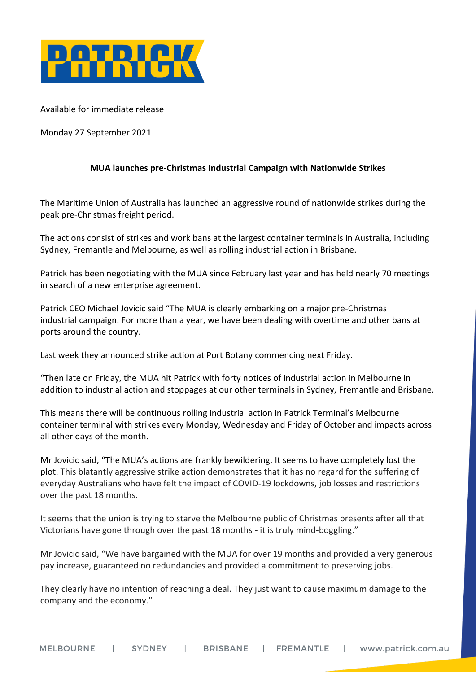

Available for immediate release

Monday 27 September 2021

# **MUA launches pre-Christmas Industrial Campaign with Nationwide Strikes**

The Maritime Union of Australia has launched an aggressive round of nationwide strikes during the peak pre-Christmas freight period.

The actions consist of strikes and work bans at the largest container terminals in Australia, including Sydney, Fremantle and Melbourne, as well as rolling industrial action in Brisbane.

Patrick has been negotiating with the MUA since February last year and has held nearly 70 meetings in search of a new enterprise agreement.

Patrick CEO Michael Jovicic said "The MUA is clearly embarking on a major pre-Christmas industrial campaign. For more than a year, we have been dealing with overtime and other bans at ports around the country.

Last week they announced strike action at Port Botany commencing next Friday.

"Then late on Friday, the MUA hit Patrick with forty notices of industrial action in Melbourne in addition to industrial action and stoppages at our other terminals in Sydney, Fremantle and Brisbane.

This means there will be continuous rolling industrial action in Patrick Terminal's Melbourne container terminal with strikes every Monday, Wednesday and Friday of October and impacts across all other days of the month.

Mr Jovicic said, "The MUA's actions are frankly bewildering. It seems to have completely lost the plot. This blatantly aggressive strike action demonstrates that it has no regard for the suffering of everyday Australians who have felt the impact of COVID-19 lockdowns, job losses and restrictions over the past 18 months.

It seems that the union is trying to starve the Melbourne public of Christmas presents after all that Victorians have gone through over the past 18 months - it is truly mind-boggling."

Mr Jovicic said, "We have bargained with the MUA for over 19 months and provided a very generous pay increase, guaranteed no redundancies and provided a commitment to preserving jobs.

They clearly have no intention of reaching a deal. They just want to cause maximum damage to the company and the economy."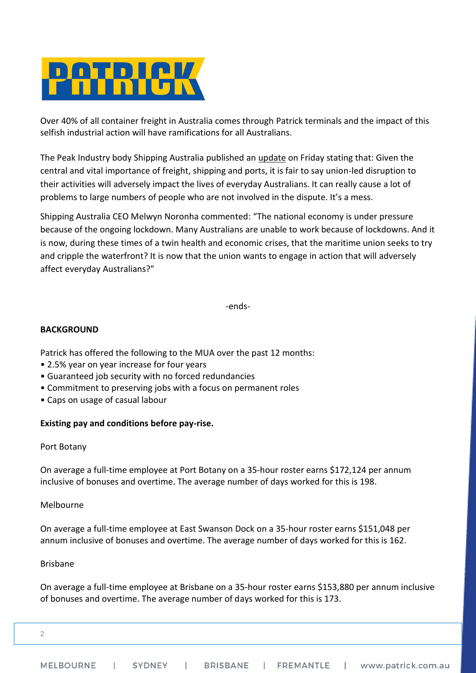

Over 40% of all container freight in Australia comes through Patrick terminals and the impact of this selfish industrial action will have ramifications for all Australians.

The Peak Industry body Shipping Australia published an [update](https://www.shippingaustralia.com.au/waterfront-stoppages-will-hurt-the-economy-and-everyday-australians/) on Friday stating that: Given the central and vital importance of freight, shipping and ports, it is fair to say union-led disruption to their activities will adversely impact the lives of everyday Australians. It can really cause a lot of problems to large numbers of people who are not involved in the dispute. It's a mess.

Shipping Australia CEO Melwyn Noronha commented: "The national economy is under pressure because of the ongoing lockdown. Many Australians are unable to work because of lockdowns. And it is now, during these times of a twin health and economic crises, that the maritime union seeks to try and cripple the waterfront? It is now that the union wants to engage in action that will adversely affect everyday Australians?"

-ends-

## **BACKGROUND**

Patrick has offered the following to the MUA over the past 12 months:

- 2.5% year on year increase for four years
- Guaranteed job security with no forced redundancies
- Commitment to preserving jobs with a focus on permanent roles
- Caps on usage of casual labour

## **Existing pay and conditions before pay-rise.**

## Port Botany

On average a full-time employee at Port Botany on a 35-hour roster earns \$172,124 per annum inclusive of bonuses and overtime. The average number of days worked for this is 198.

## Melbourne

On average a full-time employee at East Swanson Dock on a 35-hour roster earns \$151,048 per annum inclusive of bonuses and overtime. The average number of days worked for this is 162.

## Brisbane

On average a full-time employee at Brisbane on a 35-hour roster earns \$153,880 per annum inclusive of bonuses and overtime. The average number of days worked for this is 173.

2